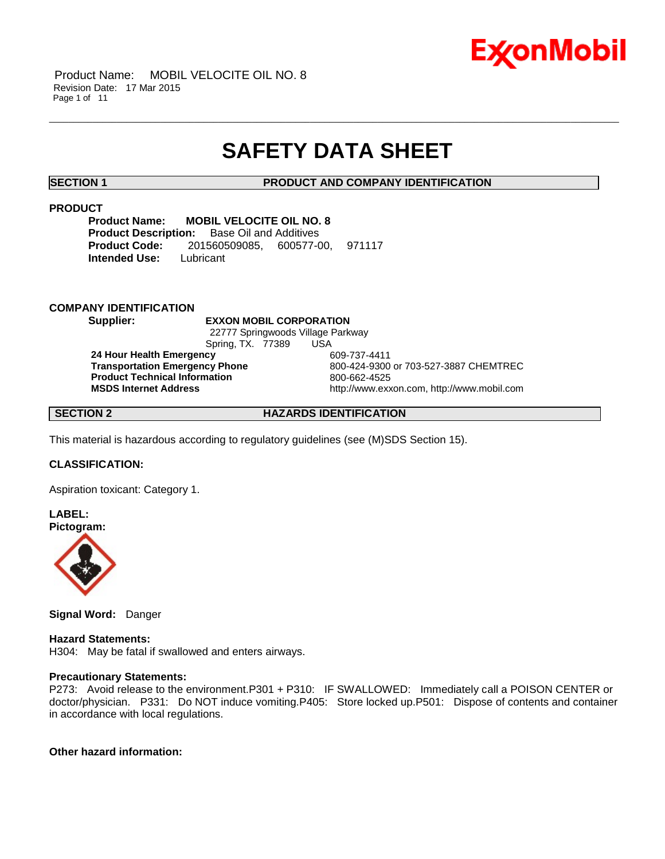

Product Name: MOBIL VELOCITE OIL NO. 8 Revision Date: 17 Mar 2015 Page 1 of 11

# **SAFETY DATA SHEET**

\_\_\_\_\_\_\_\_\_\_\_\_\_\_\_\_\_\_\_\_\_\_\_\_\_\_\_\_\_\_\_\_\_\_\_\_\_\_\_\_\_\_\_\_\_\_\_\_\_\_\_\_\_\_\_\_\_\_\_\_\_\_\_\_\_\_\_\_\_\_\_\_\_\_\_\_\_\_\_\_\_\_\_\_\_\_\_\_\_\_\_\_\_\_\_\_\_\_\_\_\_\_\_\_\_\_\_\_\_\_\_\_\_\_\_\_\_\_

#### **SECTION 1 PRODUCT AND COMPANY IDENTIFICATION**

### **PRODUCT**

**Product Name: MOBIL VELOCITE OIL NO. 8 Product Description:** Base Oil and Additives **Product Code:** 201560509085, 600577-00, 971117 **Intended Use:** Lubricant

#### **COMPANY IDENTIFICATION**

**Supplier: EXXON MOBIL CORPORATION** 22777 Springwoods Village Parkway Spring, TX. 77389 USA

**24 Hour Health Emergency** 609-737-4411 **Product Technical Information**<br> **MSDS Internet Address**<br> **MSDS Internet Address** 

**Transportation Emergency Phone** 800-424-9300 or 703-527-3887 CHEMTREC **MSDS Internet Address** http://www.exxon.com, http://www.mobil.com

#### **SECTION 2 HAZARDS IDENTIFICATION**

This material is hazardous according to regulatory guidelines (see (M)SDS Section 15).

#### **CLASSIFICATION:**

Aspiration toxicant: Category 1.

**LABEL: Pictogram:**



**Signal Word:** Danger

**Hazard Statements:** H304: May be fatal if swallowed and enters airways.

#### **Precautionary Statements:**

P273: Avoid release to the environment.P301 + P310: IF SWALLOWED: Immediately call a POISON CENTER or doctor/physician. P331: Do NOT induce vomiting.P405: Store locked up.P501: Dispose of contents and container in accordance with local regulations.

### **Other hazard information:**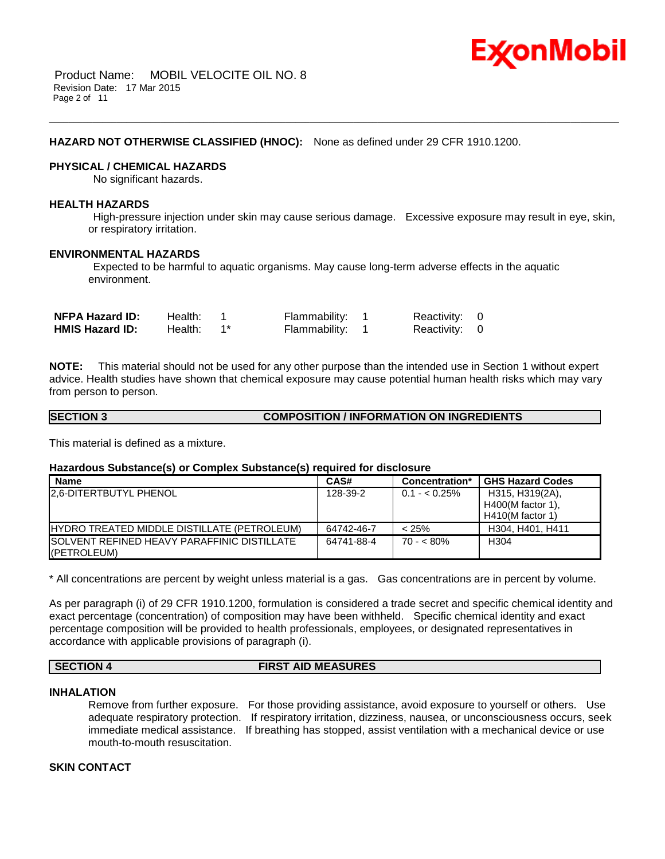

#### **HAZARD NOT OTHERWISE CLASSIFIED (HNOC):** None as defined under 29 CFR 1910.1200.

#### **PHYSICAL / CHEMICAL HAZARDS**

No significant hazards.

#### **HEALTH HAZARDS**

High-pressure injection under skin may cause serious damage. Excessive exposure may result in eye, skin, or respiratory irritation.

\_\_\_\_\_\_\_\_\_\_\_\_\_\_\_\_\_\_\_\_\_\_\_\_\_\_\_\_\_\_\_\_\_\_\_\_\_\_\_\_\_\_\_\_\_\_\_\_\_\_\_\_\_\_\_\_\_\_\_\_\_\_\_\_\_\_\_\_\_\_\_\_\_\_\_\_\_\_\_\_\_\_\_\_\_\_\_\_\_\_\_\_\_\_\_\_\_\_\_\_\_\_\_\_\_\_\_\_\_\_\_\_\_\_\_\_\_\_

#### **ENVIRONMENTAL HAZARDS**

Expected to be harmful to aquatic organisms. May cause long-term adverse effects in the aquatic environment.

| <b>NFPA Hazard ID:</b> | Health: | Flammability: | Reactivity: 0 |  |
|------------------------|---------|---------------|---------------|--|
| <b>HMIS Hazard ID:</b> | Health: | Flammability: | Reactivity: 0 |  |

**NOTE:** This material should not be used for any other purpose than the intended use in Section 1 without expert advice. Health studies have shown that chemical exposure may cause potential human health risks which may vary from person to person.

#### **SECTION 3 COMPOSITION / INFORMATION ON INGREDIENTS**

This material is defined as a mixture.

#### **Hazardous Substance(s) or Complex Substance(s) required for disclosure**

| <b>Name</b>                                         | CAS#       | Concentration* | <b>GHS Hazard Codes</b> |
|-----------------------------------------------------|------------|----------------|-------------------------|
| <b>2.6-DITERTBUTYL PHENOL</b>                       | 128-39-2   | $0.1 - 0.25\%$ | H315, H319(2A),         |
|                                                     |            |                | $H400(M$ factor 1),     |
|                                                     |            |                | $H410(M$ factor 1)      |
| <b>IHYDRO TREATED MIDDLE DISTILLATE (PETROLEUM)</b> | 64742-46-7 | < 25%          | H304. H401. H411        |
| <b>ISOLVENT REFINED HEAVY PARAFFINIC DISTILLATE</b> | 64741-88-4 | $70 - 80\%$    | H <sub>304</sub>        |
| (PETROLEUM)                                         |            |                |                         |

\* All concentrations are percent by weight unless material is a gas. Gas concentrations are in percent by volume.

As per paragraph (i) of 29 CFR 1910.1200, formulation is considered a trade secret and specific chemical identity and exact percentage (concentration) of composition may have been withheld. Specific chemical identity and exact percentage composition will be provided to health professionals, employees, or designated representatives in accordance with applicable provisions of paragraph (i).

#### **SECTION 4 FIRST AID MEASURES**

#### **INHALATION**

Remove from further exposure. For those providing assistance, avoid exposure to yourself or others. Use adequate respiratory protection. If respiratory irritation, dizziness, nausea, or unconsciousness occurs, seek immediate medical assistance. If breathing has stopped, assist ventilation with a mechanical device or use mouth-to-mouth resuscitation.

### **SKIN CONTACT**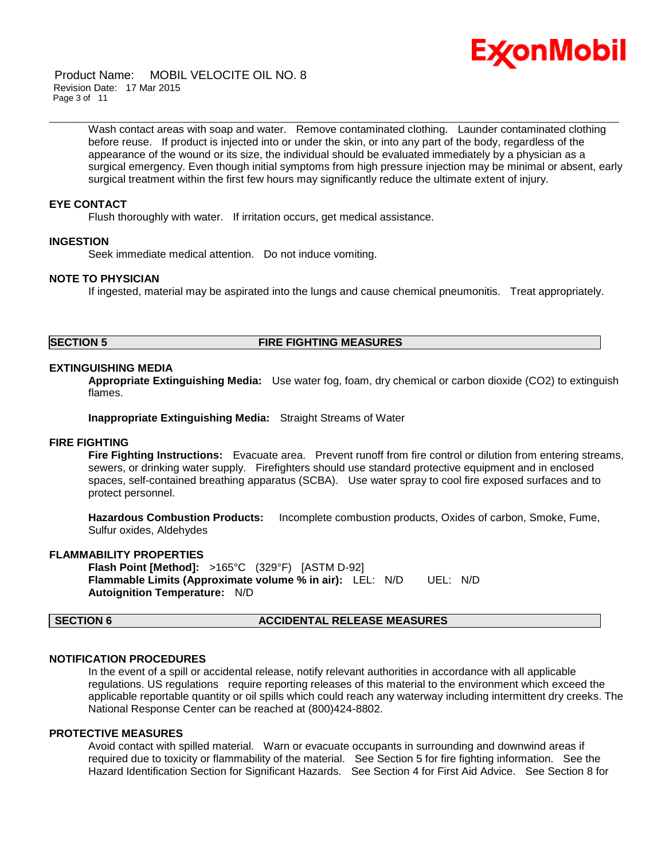

Product Name: MOBIL VELOCITE OIL NO. 8 Revision Date: 17 Mar 2015 Page 3 of 11

> Wash contact areas with soap and water. Remove contaminated clothing. Launder contaminated clothing before reuse. If product is injected into or under the skin, or into any part of the body, regardless of the appearance of the wound or its size, the individual should be evaluated immediately by a physician as a surgical emergency. Even though initial symptoms from high pressure injection may be minimal or absent, early surgical treatment within the first few hours may significantly reduce the ultimate extent of injury.

\_\_\_\_\_\_\_\_\_\_\_\_\_\_\_\_\_\_\_\_\_\_\_\_\_\_\_\_\_\_\_\_\_\_\_\_\_\_\_\_\_\_\_\_\_\_\_\_\_\_\_\_\_\_\_\_\_\_\_\_\_\_\_\_\_\_\_\_\_\_\_\_\_\_\_\_\_\_\_\_\_\_\_\_\_\_\_\_\_\_\_\_\_\_\_\_\_\_\_\_\_\_\_\_\_\_\_\_\_\_\_\_\_\_\_\_\_\_

#### **EYE CONTACT**

Flush thoroughly with water. If irritation occurs, get medical assistance.

#### **INGESTION**

Seek immediate medical attention. Do not induce vomiting.

#### **NOTE TO PHYSICIAN**

If ingested, material may be aspirated into the lungs and cause chemical pneumonitis. Treat appropriately.

### **SECTION 5 FIRE FIGHTING MEASURES**

#### **EXTINGUISHING MEDIA**

**Appropriate Extinguishing Media:** Use water fog, foam, dry chemical or carbon dioxide (CO2) to extinguish flames.

**Inappropriate Extinguishing Media:** Straight Streams of Water

#### **FIRE FIGHTING**

**Fire Fighting Instructions:** Evacuate area. Prevent runoff from fire control or dilution from entering streams, sewers, or drinking water supply. Firefighters should use standard protective equipment and in enclosed spaces, self-contained breathing apparatus (SCBA). Use water spray to cool fire exposed surfaces and to protect personnel.

**Hazardous Combustion Products:** Incomplete combustion products, Oxides of carbon, Smoke, Fume, Sulfur oxides, Aldehydes

#### **FLAMMABILITY PROPERTIES**

**Flash Point [Method]:** >165°C (329°F) [ASTM D-92] **Flammable Limits (Approximate volume % in air):** LEL: N/D UEL: N/D **Autoignition Temperature:** N/D

### **SECTION 6 ACCIDENTAL RELEASE MEASURES**

#### **NOTIFICATION PROCEDURES**

In the event of a spill or accidental release, notify relevant authorities in accordance with all applicable regulations. US regulations require reporting releases of this material to the environment which exceed the applicable reportable quantity or oil spills which could reach any waterway including intermittent dry creeks. The National Response Center can be reached at (800)424-8802.

#### **PROTECTIVE MEASURES**

Avoid contact with spilled material. Warn or evacuate occupants in surrounding and downwind areas if required due to toxicity or flammability of the material. See Section 5 for fire fighting information. See the Hazard Identification Section for Significant Hazards. See Section 4 for First Aid Advice. See Section 8 for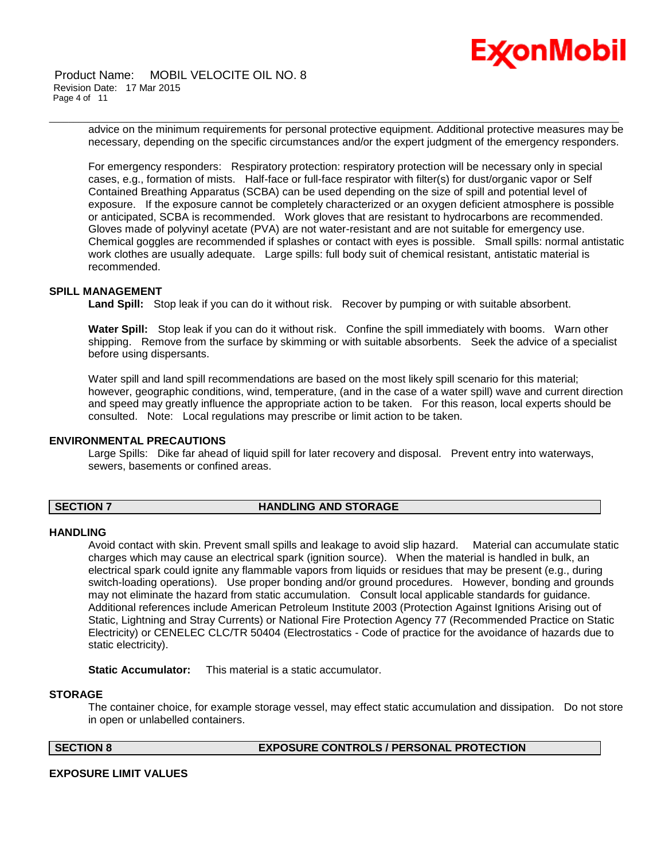

Product Name: MOBIL VELOCITE OIL NO. 8 Revision Date: 17 Mar 2015 Page 4 of 11

> advice on the minimum requirements for personal protective equipment. Additional protective measures may be necessary, depending on the specific circumstances and/or the expert judgment of the emergency responders.

\_\_\_\_\_\_\_\_\_\_\_\_\_\_\_\_\_\_\_\_\_\_\_\_\_\_\_\_\_\_\_\_\_\_\_\_\_\_\_\_\_\_\_\_\_\_\_\_\_\_\_\_\_\_\_\_\_\_\_\_\_\_\_\_\_\_\_\_\_\_\_\_\_\_\_\_\_\_\_\_\_\_\_\_\_\_\_\_\_\_\_\_\_\_\_\_\_\_\_\_\_\_\_\_\_\_\_\_\_\_\_\_\_\_\_\_\_\_

For emergency responders: Respiratory protection: respiratory protection will be necessary only in special cases, e.g., formation of mists. Half-face or full-face respirator with filter(s) for dust/organic vapor or Self Contained Breathing Apparatus (SCBA) can be used depending on the size of spill and potential level of exposure. If the exposure cannot be completely characterized or an oxygen deficient atmosphere is possible or anticipated, SCBA is recommended. Work gloves that are resistant to hydrocarbons are recommended. Gloves made of polyvinyl acetate (PVA) are not water-resistant and are not suitable for emergency use. Chemical goggles are recommended if splashes or contact with eyes is possible. Small spills: normal antistatic work clothes are usually adequate. Large spills: full body suit of chemical resistant, antistatic material is recommended.

#### **SPILL MANAGEMENT**

Land Spill: Stop leak if you can do it without risk. Recover by pumping or with suitable absorbent.

**Water Spill:** Stop leak if you can do it without risk. Confine the spill immediately with booms. Warn other shipping. Remove from the surface by skimming or with suitable absorbents. Seek the advice of a specialist before using dispersants.

Water spill and land spill recommendations are based on the most likely spill scenario for this material; however, geographic conditions, wind, temperature, (and in the case of a water spill) wave and current direction and speed may greatly influence the appropriate action to be taken. For this reason, local experts should be consulted. Note: Local regulations may prescribe or limit action to be taken.

#### **ENVIRONMENTAL PRECAUTIONS**

Large Spills: Dike far ahead of liquid spill for later recovery and disposal. Prevent entry into waterways, sewers, basements or confined areas.

#### **SECTION 7 HANDLING AND STORAGE**

#### **HANDLING**

Avoid contact with skin. Prevent small spills and leakage to avoid slip hazard. Material can accumulate static charges which may cause an electrical spark (ignition source). When the material is handled in bulk, an electrical spark could ignite any flammable vapors from liquids or residues that may be present (e.g., during switch-loading operations). Use proper bonding and/or ground procedures. However, bonding and grounds may not eliminate the hazard from static accumulation. Consult local applicable standards for guidance. Additional references include American Petroleum Institute 2003 (Protection Against Ignitions Arising out of Static, Lightning and Stray Currents) or National Fire Protection Agency 77 (Recommended Practice on Static Electricity) or CENELEC CLC/TR 50404 (Electrostatics - Code of practice for the avoidance of hazards due to static electricity).

**Static Accumulator:** This material is a static accumulator.

#### **STORAGE**

The container choice, for example storage vessel, may effect static accumulation and dissipation. Do not store in open or unlabelled containers.

**SECTION 8 EXPOSURE CONTROLS / PERSONAL PROTECTION**

#### **EXPOSURE LIMIT VALUES**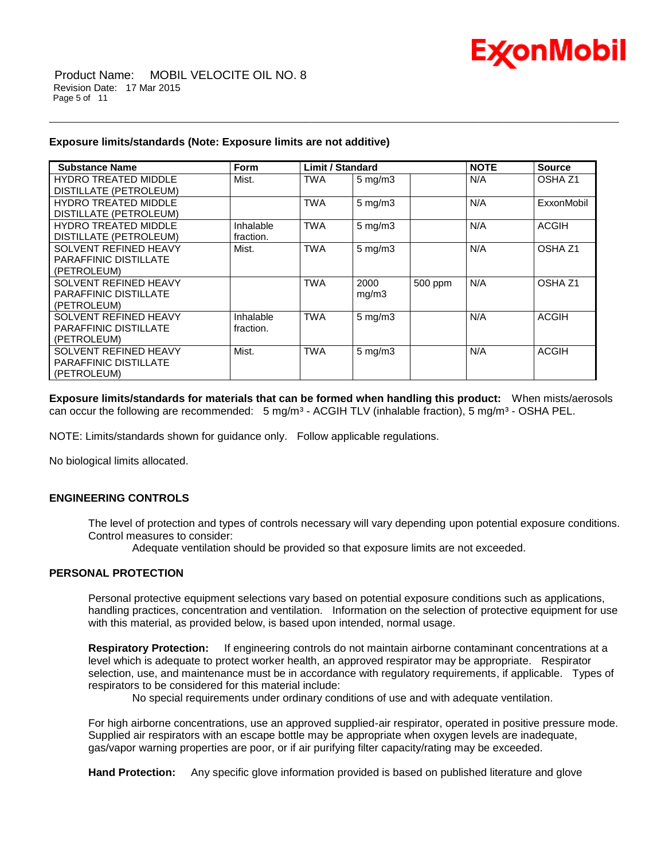

Product Name: MOBIL VELOCITE OIL NO. 8 Revision Date: 17 Mar 2015 Page 5 of 11

#### **Exposure limits/standards (Note: Exposure limits are not additive)**

| <b>Substance Name</b>         |           | <b>Limit / Standard</b> |                    |         | <b>NOTE</b> |                    |
|-------------------------------|-----------|-------------------------|--------------------|---------|-------------|--------------------|
|                               | Form      |                         |                    |         |             | <b>Source</b>      |
| <b>HYDRO TREATED MIDDLE</b>   | Mist.     | <b>TWA</b>              | $5 \text{ mg/m}$ 3 |         | N/A         | OSHA <sub>Z1</sub> |
| DISTILLATE (PETROLEUM)        |           |                         |                    |         |             |                    |
| <b>HYDRO TREATED MIDDLE</b>   |           | <b>TWA</b>              | $5$ mg/m $3$       |         | N/A         | ExxonMobil         |
| <b>DISTILLATE (PETROLEUM)</b> |           |                         |                    |         |             |                    |
| <b>HYDRO TREATED MIDDLE</b>   | Inhalable | <b>TWA</b>              | $5$ mg/m $3$       |         | N/A         | <b>ACGIH</b>       |
| DISTILLATE (PETROLEUM)        | fraction. |                         |                    |         |             |                    |
| SOLVENT REFINED HEAVY         | Mist.     | <b>TWA</b>              | $5 \text{ mg/m}$ 3 |         | N/A         | OSHA <sub>Z1</sub> |
| <b>PARAFFINIC DISTILLATE</b>  |           |                         |                    |         |             |                    |
| (PETROLEUM)                   |           |                         |                    |         |             |                    |
| SOLVENT REFINED HEAVY         |           | <b>TWA</b>              | 2000               | 500 ppm | N/A         | OSHA <sub>Z1</sub> |
| <b>PARAFFINIC DISTILLATE</b>  |           |                         | mg/m3              |         |             |                    |
| (PETROLEUM)                   |           |                         |                    |         |             |                    |
| SOLVENT REFINED HEAVY         | Inhalable | <b>TWA</b>              | $5$ mg/m $3$       |         | N/A         | <b>ACGIH</b>       |
| <b>PARAFFINIC DISTILLATE</b>  | fraction. |                         |                    |         |             |                    |
| (PETROLEUM)                   |           |                         |                    |         |             |                    |
| SOLVENT REFINED HEAVY         | Mist.     | <b>TWA</b>              | $5 \text{ mg/m}$   |         | N/A         | <b>ACGIH</b>       |
| <b>PARAFFINIC DISTILLATE</b>  |           |                         |                    |         |             |                    |
| (PETROLEUM)                   |           |                         |                    |         |             |                    |

\_\_\_\_\_\_\_\_\_\_\_\_\_\_\_\_\_\_\_\_\_\_\_\_\_\_\_\_\_\_\_\_\_\_\_\_\_\_\_\_\_\_\_\_\_\_\_\_\_\_\_\_\_\_\_\_\_\_\_\_\_\_\_\_\_\_\_\_\_\_\_\_\_\_\_\_\_\_\_\_\_\_\_\_\_\_\_\_\_\_\_\_\_\_\_\_\_\_\_\_\_\_\_\_\_\_\_\_\_\_\_\_\_\_\_\_\_\_

**Exposure limits/standards for materials that can be formed when handling this product:** When mists/aerosols can occur the following are recommended: 5 mg/m<sup>3</sup> - ACGIH TLV (inhalable fraction), 5 mg/m<sup>3</sup> - OSHA PEL.

NOTE: Limits/standards shown for guidance only. Follow applicable regulations.

No biological limits allocated.

#### **ENGINEERING CONTROLS**

The level of protection and types of controls necessary will vary depending upon potential exposure conditions. Control measures to consider:

Adequate ventilation should be provided so that exposure limits are not exceeded.

### **PERSONAL PROTECTION**

Personal protective equipment selections vary based on potential exposure conditions such as applications, handling practices, concentration and ventilation. Information on the selection of protective equipment for use with this material, as provided below, is based upon intended, normal usage.

**Respiratory Protection:** If engineering controls do not maintain airborne contaminant concentrations at a level which is adequate to protect worker health, an approved respirator may be appropriate. Respirator selection, use, and maintenance must be in accordance with regulatory requirements, if applicable. Types of respirators to be considered for this material include:

No special requirements under ordinary conditions of use and with adequate ventilation.

For high airborne concentrations, use an approved supplied-air respirator, operated in positive pressure mode. Supplied air respirators with an escape bottle may be appropriate when oxygen levels are inadequate, gas/vapor warning properties are poor, or if air purifying filter capacity/rating may be exceeded.

**Hand Protection:** Any specific glove information provided is based on published literature and glove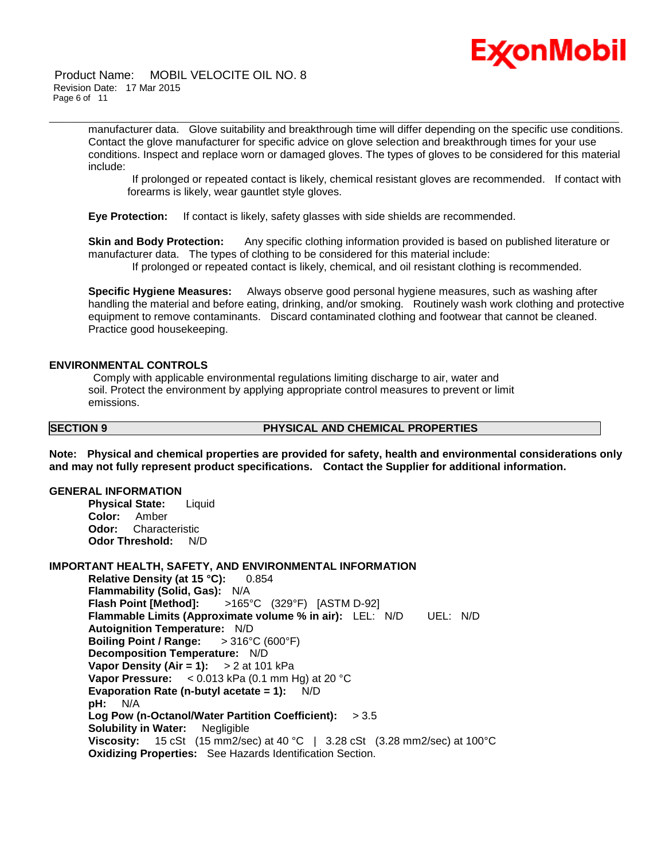

Product Name: MOBIL VELOCITE OIL NO. 8 Revision Date: 17 Mar 2015 Page 6 of 11

> manufacturer data. Glove suitability and breakthrough time will differ depending on the specific use conditions. Contact the glove manufacturer for specific advice on glove selection and breakthrough times for your use conditions. Inspect and replace worn or damaged gloves. The types of gloves to be considered for this material include:

\_\_\_\_\_\_\_\_\_\_\_\_\_\_\_\_\_\_\_\_\_\_\_\_\_\_\_\_\_\_\_\_\_\_\_\_\_\_\_\_\_\_\_\_\_\_\_\_\_\_\_\_\_\_\_\_\_\_\_\_\_\_\_\_\_\_\_\_\_\_\_\_\_\_\_\_\_\_\_\_\_\_\_\_\_\_\_\_\_\_\_\_\_\_\_\_\_\_\_\_\_\_\_\_\_\_\_\_\_\_\_\_\_\_\_\_\_\_

If prolonged or repeated contact is likely, chemical resistant gloves are recommended. If contact with forearms is likely, wear gauntlet style gloves.

**Eye Protection:** If contact is likely, safety glasses with side shields are recommended.

**Skin and Body Protection:** Any specific clothing information provided is based on published literature or manufacturer data. The types of clothing to be considered for this material include: If prolonged or repeated contact is likely, chemical, and oil resistant clothing is recommended.

**Specific Hygiene Measures:** Always observe good personal hygiene measures, such as washing after handling the material and before eating, drinking, and/or smoking. Routinely wash work clothing and protective equipment to remove contaminants. Discard contaminated clothing and footwear that cannot be cleaned. Practice good housekeeping.

#### **ENVIRONMENTAL CONTROLS**

Comply with applicable environmental regulations limiting discharge to air, water and soil. Protect the environment by applying appropriate control measures to prevent or limit emissions.

#### **SECTION 9 PHYSICAL AND CHEMICAL PROPERTIES**

**Note: Physical and chemical properties are provided for safety, health and environmental considerations only and may not fully represent product specifications. Contact the Supplier for additional information.**

#### **GENERAL INFORMATION**

**Physical State:** Liquid **Color:** Amber **Odor:** Characteristic **Odor Threshold:** N/D

### **IMPORTANT HEALTH, SAFETY, AND ENVIRONMENTAL INFORMATION**

**Relative Density (at 15 °C):** 0.854 **Flammability (Solid, Gas):** N/A **Flash Point [Method]:** >165°C (329°F) [ASTM D-92] **Flammable Limits (Approximate volume % in air):** LEL: N/D UEL: N/D **Autoignition Temperature:** N/D **Boiling Point / Range:** > 316°C (600°F) **Decomposition Temperature:** N/D **Vapor Density (Air = 1):** > 2 at 101 kPa **Vapor Pressure:** < 0.013 kPa (0.1 mm Hg) at 20 °C **Evaporation Rate (n-butyl acetate = 1):** N/D **pH:** N/A **Log Pow (n-Octanol/Water Partition Coefficient):** > 3.5 **Solubility in Water:** Negligible **Viscosity:** 15 cSt (15 mm2/sec) at 40 °C | 3.28 cSt (3.28 mm2/sec) at 100°C **Oxidizing Properties:** See Hazards Identification Section.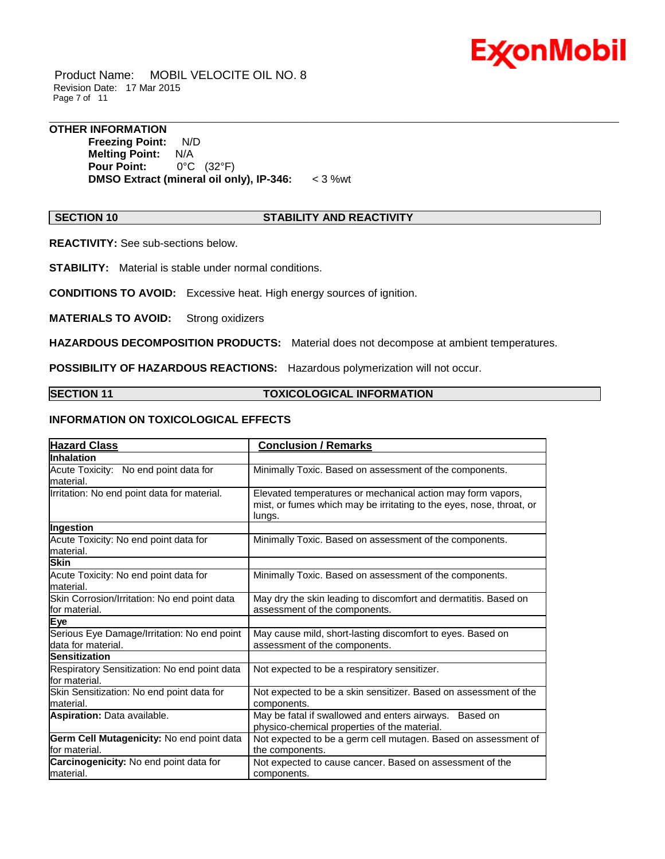

Product Name: MOBIL VELOCITE OIL NO. 8 Revision Date: 17 Mar 2015 Page 7 of 11

#### **OTHER INFORMATION**

**Freezing Point:** N/D **Melting Point:** N/A **Pour Point:** 0°C (32°F) **DMSO Extract (mineral oil only), IP-346:** < 3 %wt

#### **SECTION 10 STABILITY AND REACTIVITY**

\_\_\_\_\_\_\_\_\_\_\_\_\_\_\_\_\_\_\_\_\_\_\_\_\_\_\_\_\_\_\_\_\_\_\_\_\_\_\_\_\_\_\_\_\_\_\_\_\_\_\_\_\_\_\_\_\_\_\_\_\_\_\_\_\_\_\_\_\_\_\_\_\_\_\_\_\_\_\_\_\_\_\_\_\_\_\_\_\_\_\_\_\_\_\_\_\_\_\_\_\_\_\_\_\_\_\_\_\_\_\_\_\_\_\_\_\_\_

**REACTIVITY:** See sub-sections below.

**STABILITY:** Material is stable under normal conditions.

**CONDITIONS TO AVOID:** Excessive heat. High energy sources of ignition.

**MATERIALS TO AVOID:** Strong oxidizers

**HAZARDOUS DECOMPOSITION PRODUCTS:** Material does not decompose at ambient temperatures.

**POSSIBILITY OF HAZARDOUS REACTIONS:** Hazardous polymerization will not occur.

#### **SECTION 11 TOXICOLOGICAL INFORMATION**

### **INFORMATION ON TOXICOLOGICAL EFFECTS**

| <b>Hazard Class</b>                                               | <b>Conclusion / Remarks</b>                                                                                                                   |  |  |
|-------------------------------------------------------------------|-----------------------------------------------------------------------------------------------------------------------------------------------|--|--|
| Inhalation                                                        |                                                                                                                                               |  |  |
| Acute Toxicity: No end point data for<br>material.                | Minimally Toxic. Based on assessment of the components.                                                                                       |  |  |
| Irritation: No end point data for material.                       | Elevated temperatures or mechanical action may form vapors,<br>mist, or fumes which may be irritating to the eyes, nose, throat, or<br>lungs. |  |  |
| Ingestion                                                         |                                                                                                                                               |  |  |
| Acute Toxicity: No end point data for<br>material.                | Minimally Toxic. Based on assessment of the components.                                                                                       |  |  |
| <b>Skin</b>                                                       |                                                                                                                                               |  |  |
| Acute Toxicity: No end point data for<br>material.                | Minimally Toxic. Based on assessment of the components.                                                                                       |  |  |
| Skin Corrosion/Irritation: No end point data<br>for material.     | May dry the skin leading to discomfort and dermatitis. Based on<br>assessment of the components.                                              |  |  |
| Eye                                                               |                                                                                                                                               |  |  |
| Serious Eye Damage/Irritation: No end point<br>data for material. | May cause mild, short-lasting discomfort to eyes. Based on<br>assessment of the components.                                                   |  |  |
| <b>Sensitization</b>                                              |                                                                                                                                               |  |  |
| Respiratory Sensitization: No end point data<br>for material.     | Not expected to be a respiratory sensitizer.                                                                                                  |  |  |
| Skin Sensitization: No end point data for<br>material.            | Not expected to be a skin sensitizer. Based on assessment of the<br>components.                                                               |  |  |
| Aspiration: Data available.                                       | May be fatal if swallowed and enters airways.<br>Based on<br>physico-chemical properties of the material.                                     |  |  |
| Germ Cell Mutagenicity: No end point data<br>for material.        | Not expected to be a germ cell mutagen. Based on assessment of<br>the components.                                                             |  |  |
| Carcinogenicity: No end point data for<br>lmaterial.              | Not expected to cause cancer. Based on assessment of the<br>components.                                                                       |  |  |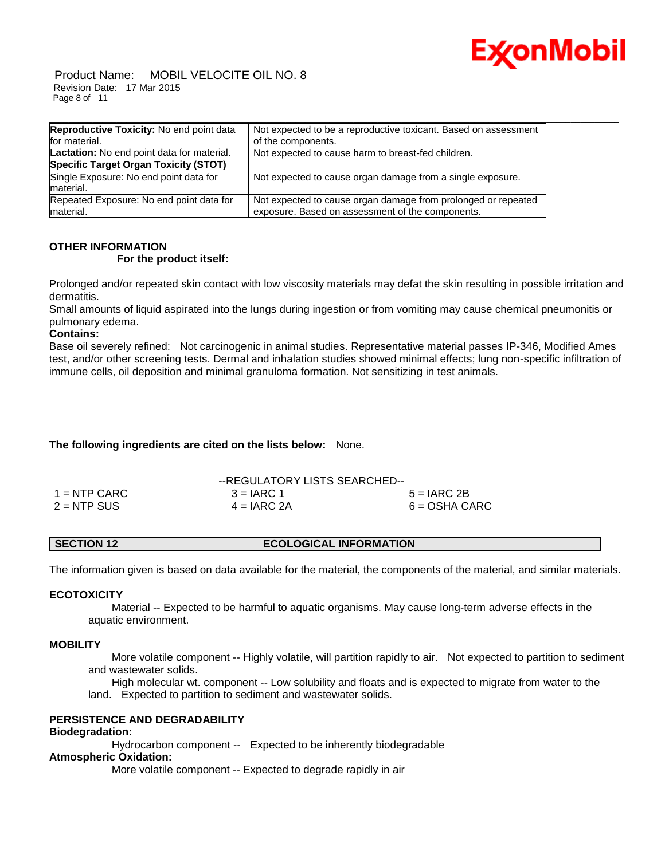

Product Name: MOBIL VELOCITE OIL NO. 8 Revision Date: 17 Mar 2015 Page 8 of 11

| <b>Reproductive Toxicity: No end point data</b>       | Not expected to be a reproductive toxicant. Based on assessment                                                   |
|-------------------------------------------------------|-------------------------------------------------------------------------------------------------------------------|
| for material.                                         | of the components.                                                                                                |
| <b>Lactation:</b> No end point data for material.     | Not expected to cause harm to breast-fed children.                                                                |
| Specific Target Organ Toxicity (STOT)                 |                                                                                                                   |
| Single Exposure: No end point data for<br>material.   | Not expected to cause organ damage from a single exposure.                                                        |
| Repeated Exposure: No end point data for<br>material. | Not expected to cause organ damage from prolonged or repeated<br>exposure. Based on assessment of the components. |

## **OTHER INFORMATION**

### **For the product itself:**

Prolonged and/or repeated skin contact with low viscosity materials may defat the skin resulting in possible irritation and dermatitis.

Small amounts of liquid aspirated into the lungs during ingestion or from vomiting may cause chemical pneumonitis or pulmonary edema.

### **Contains:**

Base oil severely refined: Not carcinogenic in animal studies. Representative material passes IP-346, Modified Ames test, and/or other screening tests. Dermal and inhalation studies showed minimal effects; lung non-specific infiltration of immune cells, oil deposition and minimal granuloma formation. Not sensitizing in test animals.

### **The following ingredients are cited on the lists below:** None.

|                | --REGULATORY LISTS SEARCHED-- |                 |
|----------------|-------------------------------|-----------------|
| $1 =$ NTP CARC | $3 = IARC 1$                  | $5 = IARC 2B$   |
| $2 = NTP$ SUS  | $4 = IARC 2A$                 | $6 = OSHA CARC$ |

### **SECTION 12 ECOLOGICAL INFORMATION**

The information given is based on data available for the material, the components of the material, and similar materials.

#### **ECOTOXICITY**

 Material -- Expected to be harmful to aquatic organisms. May cause long-term adverse effects in the aquatic environment.

#### **MOBILITY**

 More volatile component -- Highly volatile, will partition rapidly to air. Not expected to partition to sediment and wastewater solids.

 High molecular wt. component -- Low solubility and floats and is expected to migrate from water to the land. Expected to partition to sediment and wastewater solids.

#### **PERSISTENCE AND DEGRADABILITY**

#### **Biodegradation:**

Hydrocarbon component -- Expected to be inherently biodegradable

### **Atmospheric Oxidation:**

More volatile component -- Expected to degrade rapidly in air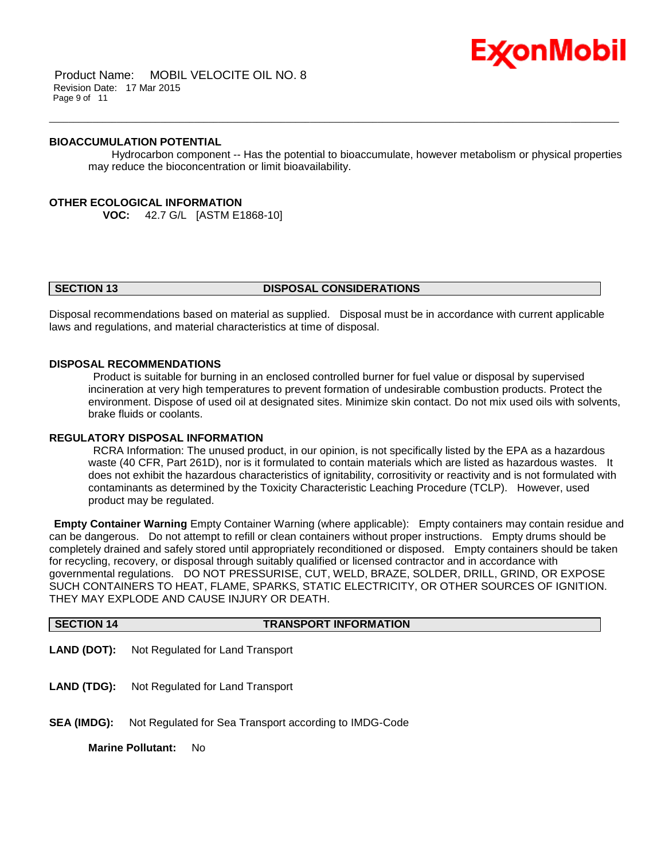

Product Name: MOBIL VELOCITE OIL NO. 8 Revision Date: 17 Mar 2015 Page 9 of 11

#### **BIOACCUMULATION POTENTIAL**

 Hydrocarbon component -- Has the potential to bioaccumulate, however metabolism or physical properties may reduce the bioconcentration or limit bioavailability.

\_\_\_\_\_\_\_\_\_\_\_\_\_\_\_\_\_\_\_\_\_\_\_\_\_\_\_\_\_\_\_\_\_\_\_\_\_\_\_\_\_\_\_\_\_\_\_\_\_\_\_\_\_\_\_\_\_\_\_\_\_\_\_\_\_\_\_\_\_\_\_\_\_\_\_\_\_\_\_\_\_\_\_\_\_\_\_\_\_\_\_\_\_\_\_\_\_\_\_\_\_\_\_\_\_\_\_\_\_\_\_\_\_\_\_\_\_\_

#### **OTHER ECOLOGICAL INFORMATION**

**VOC:** 42.7 G/L [ASTM E1868-10]

#### **SECTION 13 DISPOSAL CONSIDERATIONS**

Disposal recommendations based on material as supplied. Disposal must be in accordance with current applicable laws and regulations, and material characteristics at time of disposal.

#### **DISPOSAL RECOMMENDATIONS**

Product is suitable for burning in an enclosed controlled burner for fuel value or disposal by supervised incineration at very high temperatures to prevent formation of undesirable combustion products. Protect the environment. Dispose of used oil at designated sites. Minimize skin contact. Do not mix used oils with solvents, brake fluids or coolants.

#### **REGULATORY DISPOSAL INFORMATION**

RCRA Information: The unused product, in our opinion, is not specifically listed by the EPA as a hazardous waste (40 CFR, Part 261D), nor is it formulated to contain materials which are listed as hazardous wastes. It does not exhibit the hazardous characteristics of ignitability, corrositivity or reactivity and is not formulated with contaminants as determined by the Toxicity Characteristic Leaching Procedure (TCLP). However, used product may be regulated.

**Empty Container Warning** Empty Container Warning (where applicable): Empty containers may contain residue and can be dangerous. Do not attempt to refill or clean containers without proper instructions. Empty drums should be completely drained and safely stored until appropriately reconditioned or disposed. Empty containers should be taken for recycling, recovery, or disposal through suitably qualified or licensed contractor and in accordance with governmental regulations. DO NOT PRESSURISE, CUT, WELD, BRAZE, SOLDER, DRILL, GRIND, OR EXPOSE SUCH CONTAINERS TO HEAT, FLAME, SPARKS, STATIC ELECTRICITY, OR OTHER SOURCES OF IGNITION. THEY MAY EXPLODE AND CAUSE INJURY OR DEATH.

| SECTION 14 | <b>TRANSPORT INFORMATION</b>                        |
|------------|-----------------------------------------------------|
|            | <b>LAND (DOT):</b> Not Regulated for Land Transport |
|            | <b>LAND (TDG):</b> Not Regulated for Land Transport |

**SEA (IMDG):** Not Regulated for Sea Transport according to IMDG-Code

**Marine Pollutant:** No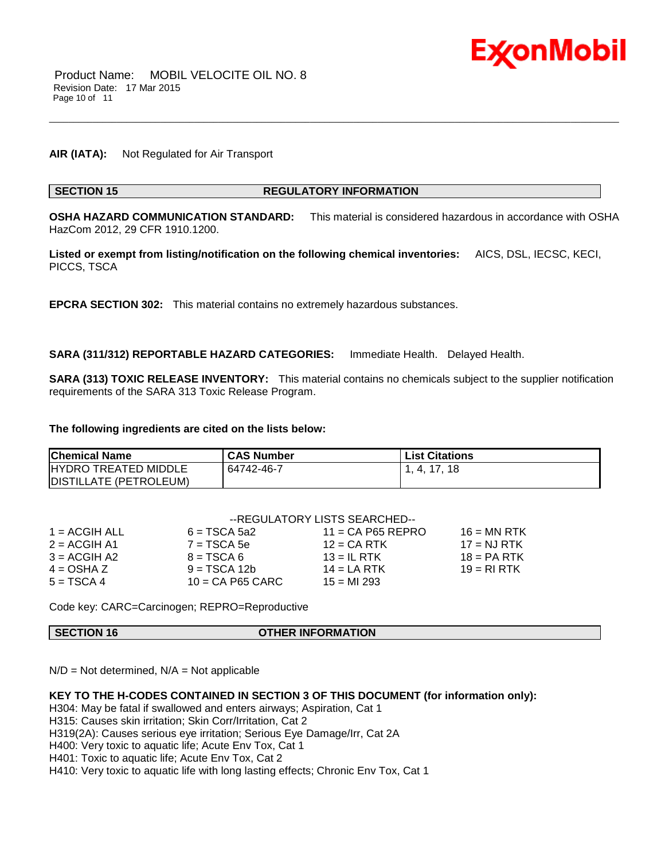

#### **AIR (IATA):** Not Regulated for Air Transport

#### **SECTION 15 REGULATORY INFORMATION**

**OSHA HAZARD COMMUNICATION STANDARD:** This material is considered hazardous in accordance with OSHA HazCom 2012, 29 CFR 1910.1200.

\_\_\_\_\_\_\_\_\_\_\_\_\_\_\_\_\_\_\_\_\_\_\_\_\_\_\_\_\_\_\_\_\_\_\_\_\_\_\_\_\_\_\_\_\_\_\_\_\_\_\_\_\_\_\_\_\_\_\_\_\_\_\_\_\_\_\_\_\_\_\_\_\_\_\_\_\_\_\_\_\_\_\_\_\_\_\_\_\_\_\_\_\_\_\_\_\_\_\_\_\_\_\_\_\_\_\_\_\_\_\_\_\_\_\_\_\_\_

**Listed or exempt from listing/notification on the following chemical inventories:** AICS, DSL, IECSC, KECI, PICCS, TSCA

**EPCRA SECTION 302:** This material contains no extremely hazardous substances.

**SARA (311/312) REPORTABLE HAZARD CATEGORIES:** Immediate Health. Delayed Health.

**SARA (313) TOXIC RELEASE INVENTORY:** This material contains no chemicals subject to the supplier notification requirements of the SARA 313 Toxic Release Program.

#### **The following ingredients are cited on the lists below:**

| <b>Chemical Name</b>         | <b>CAS Number</b> | <b>List Citations</b> |
|------------------------------|-------------------|-----------------------|
| <b>IHYDRO TREATED MIDDLE</b> | 64742-46-7        | 1, 4, 17, 18          |
| DISTILLATE (PETROLEUM)       |                   |                       |

|                 | --REGULATORY LISTS SEARCHED-- |                     |               |  |  |
|-----------------|-------------------------------|---------------------|---------------|--|--|
| $1 = ACGIH ALL$ | $6 = TSCA 5a2$                | $11 = CA$ P65 REPRO | $16 = MN$ RTK |  |  |
| $2 = ACGIH A1$  | $7 = TSCA 5e$                 | $12$ = CA RTK       | $17 = NJ RTK$ |  |  |
| $3 = ACGIH A2$  | $8 = TSCA6$                   | $13 = IL$ RTK       | $18 = PA RTK$ |  |  |
| $4 = OSHA Z$    | $9 = TSCA 12b$                | 14 = LA RTK         | $19 = RIRTK$  |  |  |
| $5 = TSCA4$     | $10 = CA$ P65 CARC            | $15 = M1293$        |               |  |  |

Code key: CARC=Carcinogen; REPRO=Reproductive

**SECTION 16 OTHER INFORMATION**

 $N/D = Not determined$ ,  $N/A = Not$  applicable

#### **KEY TO THE H-CODES CONTAINED IN SECTION 3 OF THIS DOCUMENT (for information only):**

H304: May be fatal if swallowed and enters airways; Aspiration, Cat 1

H315: Causes skin irritation; Skin Corr/Irritation, Cat 2

H319(2A): Causes serious eye irritation; Serious Eye Damage/Irr, Cat 2A

H400: Very toxic to aquatic life; Acute Env Tox, Cat 1

H401: Toxic to aquatic life; Acute Env Tox, Cat 2

H410: Very toxic to aquatic life with long lasting effects; Chronic Env Tox, Cat 1